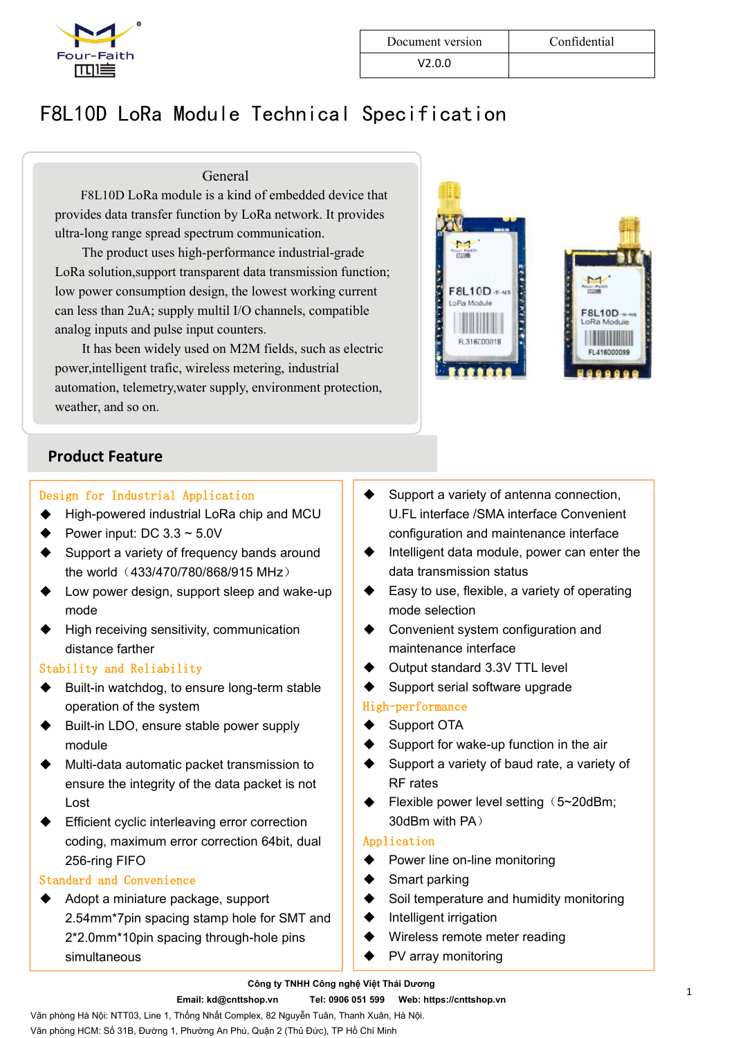

# Four-Faith<br>
Four-Faith<br>
F8L10D LoRa Module Technical Specification<br>
General

# General

FREATH<br>
FREATH DUNEAR Module Technical Specification<br>
F8L10D LoRa module is a kind of embedded device that<br>
The product uses high-performance industrial-grade provides data transfer function by LoRa network. It provides<br>
LORA network. It provides data transfer function by LoRa network. It provides<br>
Unita-long range spread spectrum communication.<br>
The product uses high-performanc November 1991<br>
Four-Faith<br>
TILE V2.0.0<br>
BL10D LoRa Module Technical Specific<br>
General<br>
F8L10D LoRa module is a kind of embedded device that<br>
provides data transfer function by LoRa network. It provides<br>
ultra-long range sp

The product uses high-performance industrial-grade<br>
Solution, support consumption  $\frac{1}{2}$ <br>  $\frac{1}{2}$ <br>
The product uses high-performance industrial-grade<br>  $\frac{1}{2}$ <br>  $\frac{1}{2}$ <br>  $\frac{1}{2}$ <br>  $\frac{1}{2}$ <br>  $\frac{1}{2}$ <br>  $\frac{1}{2}$ <br> BL10D LoRa Module Technical Specification<br>
FSL10D LoRa module is a kind of embedded device that<br>
provides data transfer function by LoRa network. It provides<br>
ultra-long range spread spectrum communication.<br>
The product us **BL10D LoRa Module Technical Specification**<br>
FSL10D LoRa module is a kind of embedded device that<br>
provides data transfer function by LoRa network. It provides<br>
ultra-long range spread spectrum communication.<br>
The product **BL10D LoRa Module Technical Specification**<br>
FSL10D LoRa module is a kind of embedded device that<br>
provides data transfer function by LoRa network. It provides<br>
ultra-long range spread spectrum communication.<br>
The product General<br>
F8L10D LoRa module is a kind of embedded device that<br>
provides data transfer function by LoRa network. It provides<br>
ultra-long range spread spectrum communication.<br>
The product uses high-performance industrial-gra General<br>
FSL10D LoRa module is a kind of embedded device that<br>
provides data transfer function by LoRa network. It provides<br>
ultra-long range spread spectrum communication.<br>
The product uses high-performance industrial-gra F8L10D LoRa module is a kind of embedded device that<br>provides data transfer function by LoRa network. It provides<br>ultra-long range spread spectrum communication.<br>The product uses high-performance industrial-grade<br>LoRa solu provides data transfer function by LoRa network. It pro<br>
ultra-long range spread spectrum communication.<br>
The product uses high-performance industrial-graa<br>
LoRa solution, support transparent data transmission ful<br>
low pow provides data transfer function by LoRa network.<br>
ultra-long range spread spectrum communication.<br>
The product uses high-performance industrial<br>
LoRa solution,support transparent data transmissic<br>
low power consumption de

Iow power consumption design, the lowest working current<br>
can less than 2uA; supply multil I/O channels, compatible<br>
analog inputs and pulse input counters.<br>
It has been widely used on M2M fields, such as electric<br>
power, analog inputs and pulse input counters.<br>
It has been widely used on M2M fields, such as electric<br>
power, intelligent trafic, wireless metering, industrial<br>
automation, telemetry, water supply, environment protection,<br>
we It has been widely used on M2M fields, such as electric<br>power,intelligent trafic, wireless metering, industrial<br>automation, telemetry,water supply, environment protection,<br>weather, and so on.<br>**Product Feature**<br>**Design for** Support a variety, water supply, environment protection,<br>
weather, and so on.<br>
Weather, and so on.<br> **Product Feature**<br> **Product Feature**<br>
<br> **Product Feature**<br>
<br> **Product Feature**<br>
<br> **Product Feature**<br>
<br> **Product Feature**<br> the world(433/470/780/868/915 MHz)



- 
- 
- 
- Weather, and so on.<br> **Product Feature**<br> **Design for Industrial Application**<br>  $\leftarrow$  High-powered industrial LoRa chip and MCU<br>  $\leftarrow$  Power input: DC 3.3 ~ 5.0V<br>  $\leftarrow$  Support a variety of frequency bands around<br>
the world mode Product Feature<br>
Design for Industrial Application<br>
→ High-powered industrial LoRa chip and MCU<br>
→ Power input: DC 3.3 ~ 5.0V<br>
→ Support a variety of frequency bands around<br>
the world (433/470/780/868/915 MHz)<br>
→ Low powe **Product Feature**<br> **Design for Industrial Application**<br>  $\blacklozenge$  High-powered industrial LoRa chip and MCU<br>  $\blacklozenge$  Power input: DC 3.3 ~ 5.0V<br>  $\blacklozenge$  Support a variety of frequency bands around<br>
the world (433/470/780/86 ● High-powered industrial LoRa chip and MCU<br>
● High-powered industrial LoRa chip and MCU<br>
↓ DuFL interface /<br>
↓ DuFL interface /<br>
↓ Comfiguration and<br>
the world (433/470/780/868/915 MHz)<br>
↓ Low power design, support sl Prover input: DC 3.3 ~ 5.0V<br>
Support a variety of frequency bands around<br>
the world (433/470/780/868/915 MHz)<br>
Low power design, support sleep and wake-up<br>
mode<br>
High receiving sensitivity, communication<br>
distance farther Example the world (433/470/780/868/915 MHz)<br>
built-lighert device world (433/470/780/868/915 MHz)<br>
but we power design, support sleep and wake-up<br>
mode<br>
eligh receiving sensitivity, communication<br>
distance farther<br>
Built
- 

- gn for Industrial Application<br>High-powered industrial LoRa chip and MC<br>Power input: DC 3.3 ~ 5.0V<br>Support a variety of frequency bands arour<br>the world  $(433/470/780/868/915 \text{ MHz})$ <br>Low power design, support sleep and wake<br>m
- module
- Multi-data automatic packet transmission to the support seep and wake-up<br>
Multi-data automatic packet transmission to the system<br>
Multi-data automatic packet transmission to<br>
Multi-data automatic packet transmission to<br> Ensure the integrity of the data packet is not<br>entire the internal integrity of the system distance farther<br>Built-in watchdog, to ensure long-term stable<br>Built-in LDO, ensure stable power supply<br>module<br>Multi-data automati Lost
- Efficient cyclic interleaving error correction 64bit, dual<br>
256-ring FIFO<br>
Standard and Convenience<br>
Standard and Convenience<br>
Standard and Convenience<br>
Standard and Convenience<br>
Standard and Convenience<br>
Standard and Co Contract in the maintenance interesting<br>
ility and Reliability<br>
Built-in watchdog, to ensure long-term stable<br>
Support serial sof<br>
Deprod scale integrity of the data packet is not<br>
ensure the integrity of the data packet Tritry and Nerrlandshirty<br>Built-in watchdog, to ensure long-term stable<br>operation of the system<br>Built-in LDO, ensure stable power supply<br>module<br>Multi-data automatic packet transmission to<br>ensure the integrity of the data p Stability and Reliability<br>  $\bullet$  Built-in watchdog, to ensure long-term stable<br>
operation of the system<br>
Built-in LDO, ensure stable power supply<br>
module<br>  $\bullet$  Multi-data automatic packet transmission to<br>
ensure the integr

- → Built-in LDO, ensure stable power supply<br>
→ Built-in LDO, ensure stable power supply<br>
→ Supp<br>
<br>
Multi-data automatic packet transmission to<br>
ensure the integrity of the data packet is not<br>
Lost<br>
→ Efficient cyclic inter Bullet Multi-data automatic packet transmission to<br>
Multi-data automatic packet transmission to<br>
Lost<br>
Lost<br>
Lost<br>
Lost<br>
Efficient cyclic interleaving error correction<br>
Coding, maximum error correction 64bit, dual<br>
256-ri Multi-data automatic packet transmission to<br>
Lost<br>
Lost<br>
Lost<br>
Lost<br>
256-ring FIFO<br>
and and Convenience<br>
Adopt a miniature package, support<br>
2.54mm\*7pin spacing stamp hole for SMT and<br>
2\*2.0mm\*10pin spacing through-hole p simultaneous
- **Existence of SMA interface Convenient**<br>
Comport a variety of antenna connection,<br>
U.FL interface /SMA interface Convenient<br>
configuration and maintenance interface<br>
Intelligent data module, power can enter the<br>
data trans Internal models<br>
Internal models<br>
Internal connection,<br>
I.FL interface /SMA interface Convenient<br>
configuration and maintenance interface<br>
A lintelligent data module, power can enter the<br>
data transmission status<br>
A Easy **Support a variety of antenna connection,<br>
U.FL interface /SMA interface Convenient<br>
configuration and maintenance interface<br>
Intelligent data module, power can enter the<br>
data transmission status<br>
Easy to use, flexible, a** Example 1<br>
Easy of antenna connection,<br>
U.FL interface /SMA interface Convenient<br>
configuration and maintenance interface<br>
A Intelligent data module, power can enter the<br>
data transmission status<br>
Easy to use, flexible, a Support a variety of antenna connection<br>U.FL interface /SMA interface Convenies<br>configuration and maintenance interface<br>Intelligent data module, power can enter<br>data transmission status<br>Easy to use, flexible, a variety of ◆ Support a variety of antenna connection,<br>
U.FL interface /SMA interface Convenient<br>
configuration and maintenance interface<br>
◆ Intelligent data module, power can enter the<br>
data transmission status<br>
← Easy to use, flexi Support a variety of antenna connection,<br>
U.FL interface /SMA interface Convenient<br>
configuration and maintenance interface<br>
Intelligent data module, power can enter the<br>
data transmission status<br>
Easy to use, flexible, a <ul>\n<li>Support a variety of antenna connection,</li>\n<li>U.FL interface /SMA interface Convention,</li>\n<li>Configuration and maintenance interface</li>\n<li>Intelligent data module, power can enter the data transmission status</li>\n<li>Easy to use, flexible, a variety of operating mode selection</li>\n<li>Convenient system configuration and maintenance interface</li>\n<li>Output standard 3.3V TTL level</li>\n<li>Support serial software upgrade</li>\n<li>Support OR</li>\n</ul> Support a variety of anterna confiection,<br>
U.FL interface /SMA interface Convenient<br>
configuration and maintenance interface<br>
A Intelligent data module, power can enter the<br>
data transmission status<br>
Easy to use, flexible
- 
- ◆ Intelligent data module, power can enter the data transmission status<br>
◆ Easy to use, flexible, a variety of operating<br>
mode selection<br>
← Convenient system configuration and<br>
maintenance interface<br>
← Output standard 3.3 Support data module, power can enter the<br>data transmission status<br>
Support for wake-up function and<br>
maintenance interface<br>
→ Output standard 3.3V TTL level<br>
→ Support serial software upgrade<br>
High-performance<br>
→ Support → Easy to use, flexible, a variety of operating<br>
mode selection<br>
→ Convenient system configuration and<br>
maintenance interface<br>
→ Output standard 3.3V TTL level<br>
→ Support serial software upgrade<br>
High-performance<br>
→ Suppo
- Lasy to use, liexible, a variety of oper<br>mode selection<br>Convenient system configuration and<br>maintenance interface<br>Output standard 3.3V TTL level<br>Support serial software upgrade<br>Terformance<br>Support OTA<br>Support for wake-up f
- 
- 

# High-performance

- 
- 
- ◆ Convenient system configuration and<br>maintenance interface<br>
◆ Output standard 3.3V TTL level<br>
◆ Support serial software upgrade<br>
High-performance<br>
◆ Support OTA<br>
→ Support for wake-up function in the air<br>
→ Support a var Convenient system comiguration and<br>
maintenance interface<br>
Output standard 3.3V TTL level<br>
Support serial software upgrade<br>
<del>Performance</del><br>
Support OTA<br>
Support for wake-up function in the air<br>
Support a variety of baud rat ◆ Support scrial software upgrade<br>
Nigh-performance<br>
◆ Support OTA<br>
◆ Support for wake-up function in the air<br>
◆ Support a variety of baud rate, a variety of<br>
RF rates<br>
← Flexible power level setting (5~20dBm;<br>
30dBm with A Support OTA<br>
Support for wake-up function in the air<br>
Support a variety of baud rate, a variety of<br>
RF rates<br>
Flexible power level setting (5~20dBm;<br>
30dBm with PA)<br>
Application<br>
Application<br>
Soll temperature and humid → Support OTA<br>
→ Support for wake-up function in the air<br>
→ Support a variety of baud rate, a variety of<br>
RF rates<br>
← Flexible power level setting (5~20dBm;<br>
30dBm with PA)<br>
Application<br>
← Power line on-line monitoring<br> ◆ Support for wake-up function if the air<br>
◆ Support a variety of baud rate, a variety of<br>
RF rates<br>
◆ Flexible power level setting (5~20dBm;<br>
30dBm with PA)<br>
Application<br>
◆ Power line on-line monitoring<br>
Smart parking<br>
S
- Valigh-performance<br>
⇒ Support OTA<br>
⇒ Support or wake-up function in the air<br>
⇒ Support a variety of baud rate, a variety<br>
RF rates<br>
← Flexible power level setting (5~20dBm;<br>
30dBm with PA)<br>
Application<br>
← Nower line on-l Verside power level setting (5~20dBm;<br>RF rates<br>
Application<br>
20dBm with PA)<br>
Application<br>
Power line on-line monitoring<br>
Smart parking<br>
Soil temperature and humidity monitoring<br>
thelligent irrigation<br>
Wireless remote mete

# Application

- 
- 
- 
- 
- 
- 

# **Công ty TNHH Công nghệ Việt Thái Dương**

# **Email: kd@cnttshop.vn Tel: 0906 051 599 Web: https://cnttshop.vn**

Văn phòng Hà Nội: NTT03, Line 1, Thống Nhất Complex, 82 Nguyễn Tuân, Thanh Xuân, Hà Nội. Văn phòng HCM: Số 31B, Đường 1, Phường An Phú, Quận 2 (Thủ Đức), TP Hồ Chí Minh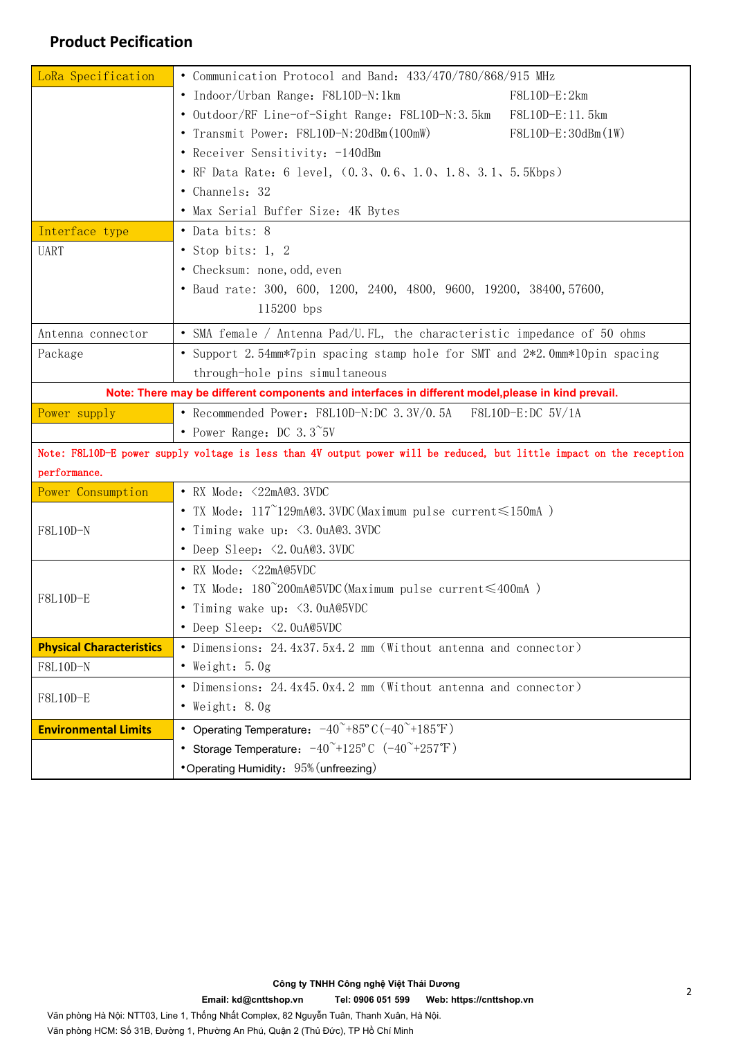| <b>Product Pecification</b>     |                                                                                                                      |  |  |  |  |
|---------------------------------|----------------------------------------------------------------------------------------------------------------------|--|--|--|--|
|                                 |                                                                                                                      |  |  |  |  |
|                                 |                                                                                                                      |  |  |  |  |
|                                 |                                                                                                                      |  |  |  |  |
|                                 |                                                                                                                      |  |  |  |  |
|                                 |                                                                                                                      |  |  |  |  |
| LoRa Specification              | • Communication Protocol and Band: 433/470/780/868/915 MHz                                                           |  |  |  |  |
|                                 | • Indoor/Urban Range: F8L10D-N:1km<br>F8L10D-E:2km                                                                   |  |  |  |  |
|                                 | • Outdoor/RF Line-of-Sight Range: F8L10D-N:3.5km    F8L10D-E:11.5km<br>• Transmit Power: F8L10D-N:20dBm(100mW)       |  |  |  |  |
|                                 | $F8L10D-E:30dBm(1W)$<br>• Receiver Sensitivity: -140dBm                                                              |  |  |  |  |
|                                 | • RF Data Rate: 6 level, (0.3, 0.6, 1.0, 1.8, 3.1, 5.5Kbps)                                                          |  |  |  |  |
|                                 | • Channels: 32                                                                                                       |  |  |  |  |
|                                 | • Max Serial Buffer Size: 4K Bytes                                                                                   |  |  |  |  |
| Interface type                  | • Data bits: 8                                                                                                       |  |  |  |  |
| <b>UART</b>                     | • Stop bits: 1, 2                                                                                                    |  |  |  |  |
|                                 | • Checksum: none, odd, even                                                                                          |  |  |  |  |
|                                 | • Baud rate: 300, 600, 1200, 2400, 4800, 9600, 19200, 38400, 57600,<br>115200 bps                                    |  |  |  |  |
| Antenna connector               | • SMA female / Antenna Pad/U.FL, the characteristic impedance of 50 ohms                                             |  |  |  |  |
| Package                         | • Support 2.54mm*7pin spacing stamp hole for SMT and 2*2.0mm*10pin spacing                                           |  |  |  |  |
|                                 | through-hole pins simultaneous                                                                                       |  |  |  |  |
|                                 | Note: There may be different components and interfaces in different model, please in kind prevail.                   |  |  |  |  |
| Power supply                    |                                                                                                                      |  |  |  |  |
|                                 | • Power Range: DC $3.3^{\circ}5V$                                                                                    |  |  |  |  |
| performance.                    | Note: F8L10D-E power supply voltage is less than 4V output power will be reduced, but little impact on the reception |  |  |  |  |
| Power Consumption               | • RX Mode: $\langle 22 \text{mA@3. 3VDC}$                                                                            |  |  |  |  |
|                                 | • TX Mode: $117^{\sim}129$ mA@3.3VDC(Maximum pulse current $\leq 150$ mA)                                            |  |  |  |  |
| F8L10D-N                        | • Timing wake up: $\langle 3.0uA@3.3VDC$                                                                             |  |  |  |  |
|                                 | • Deep Sleep: $\langle 2.0uA@3.3VDC$                                                                                 |  |  |  |  |
|                                 | • RX Mode: <22mA@5VDC                                                                                                |  |  |  |  |
| F8L10D-E                        | • TX Mode: 180~200mA@5VDC(Maximum pulse current≤400mA)                                                               |  |  |  |  |
|                                 | • Timing wake up: $\langle 3.0uA@5VDC$                                                                               |  |  |  |  |
|                                 | • Deep Sleep: $\langle 2.0uA@5VDC \rangle$                                                                           |  |  |  |  |
| <b>Physical Characteristics</b> | • Dimensions: 24.4x37.5x4.2 mm (Without antenna and connector)                                                       |  |  |  |  |
| F8L10D-N                        | • Weight: $5.0g$                                                                                                     |  |  |  |  |
| F8L10D-E                        | • Dimensions: 24.4x45.0x4.2 mm (Without antenna and connector)<br>$\bullet$ Weight: 8.0g                             |  |  |  |  |
| <b>Environmental Limits</b>     | • Operating Temperature: $-40^\circ + 85^\circ$ C $(-40^\circ + 185^\circ F)$                                        |  |  |  |  |
|                                 | • Storage Temperature: $-40^{\sim}+125^{\circ}$ C $(-40^{\sim}+257^{\circ}F)$                                        |  |  |  |  |
|                                 |                                                                                                                      |  |  |  |  |